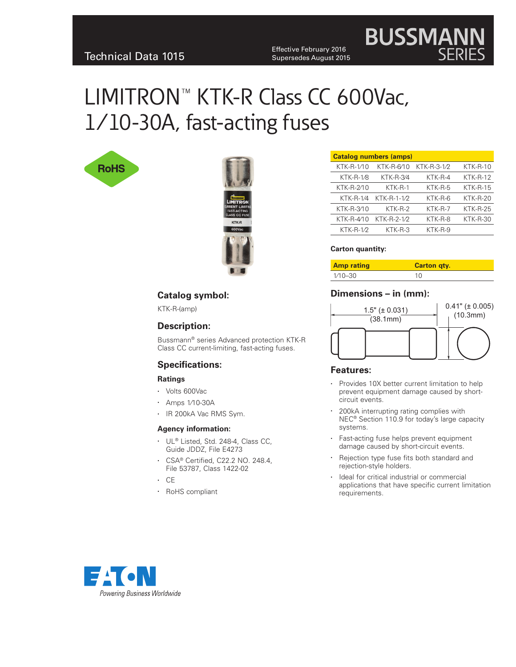Effective February 2016<br>Technical Data 1015 Effective Supersedes August 2018 Supersedes August 2015

# **BUSSMAN**

# LIMITRON™ KTK-R Class CC 600Vac, 1⁄10-30A, fast-acting fuses





| KTK-R-6/10       | KTK-R-3-1/2 | $KTK-R-10$                    |
|------------------|-------------|-------------------------------|
| <b>KTK-R-3/4</b> | KTK-R-4     | $KTK-R-12$                    |
| $KTK-R-1$        | $KTK-R-5$   | $KTK-R-15$                    |
| KTK-R-1-1/2      | KTK-R-6     | $KTK-R-20$                    |
| KTK-R-2          | $KTK-R-7$   | $KTK-R-25$                    |
| KTK-R-2-1/2      | KTK-R-8     | KTK-R-30                      |
| $KTK-R-3$        | KTK-R-9     |                               |
|                  |             | <b>Catalog numbers (amps)</b> |

#### **Carton quantity:**

| <b>Amp rating</b> | <b>Carton gty.</b> |
|-------------------|--------------------|
| $1/10 - 30$       | 10                 |

#### **Catalog symbol:**

KTK-R-(amp)

#### **Description:**

Bussmann® series Advanced protection KTK-R Class CC current-limiting, fast-acting fuses.

#### **Specifications:**

#### **Ratings**

- • Volts 600Vac
- • Amps 1⁄10-30A
- • IR 200kA Vac RMS Sym.

#### **Agency information:**

- UL® Listed, Std. 248-4, Class CC, Guide JDDZ, File E4273
- • CSA® Certified, C22.2 NO. 248.4, File 53787, Class 1422-02
- • CE
- • RoHS compliant

#### **Dimensions – in (mm):**



#### **Features:**

- Provides 10X better current limitation to help prevent equipment damage caused by shortcircuit events.
- 200kA interrupting rating complies with NEC® Section 110.9 for today's large capacity systems.
- Fast-acting fuse helps prevent equipment damage caused by short-circuit events.
- Rejection type fuse fits both standard and rejection-style holders.
- Ideal for critical industrial or commercial applications that have specific current limitation requirements.

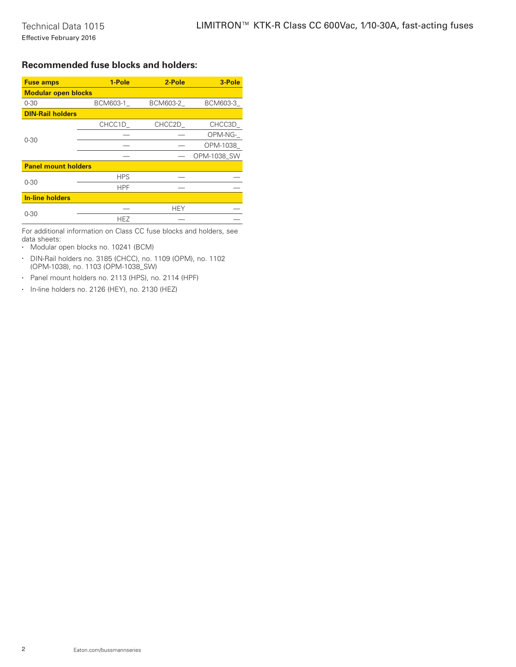### **Recommended fuse blocks and holders:**

| <b>Fuse amps</b>           | 1-Pole     | 2-Pole     | 3-Pole      |  |  |
|----------------------------|------------|------------|-------------|--|--|
| <b>Modular open blocks</b> |            |            |             |  |  |
| $0 - 30$                   | BCM603-1   | BCM603-2   | BCM603-3    |  |  |
| <b>DIN-Rail holders</b>    |            |            |             |  |  |
| $0 - 30$                   | CHCC1D     | CHCC2D     | CHCC3D      |  |  |
|                            |            |            | OPM-NG-     |  |  |
|                            |            |            | OPM-1038    |  |  |
|                            |            |            | OPM-1038 SW |  |  |
| <b>Panel mount holders</b> |            |            |             |  |  |
| $0 - 30$                   | <b>HPS</b> |            |             |  |  |
|                            | <b>HPF</b> |            |             |  |  |
| <b>In-line holders</b>     |            |            |             |  |  |
| $0 - 30$                   |            | <b>HEY</b> |             |  |  |
|                            | <b>HEZ</b> |            |             |  |  |

For additional information on Class CC fuse blocks and holders, see data sheets:

- • Modular open blocks no. 10241 (BCM)
- • DIN-Rail holders no. 3185 (CHCC), no. 1109 (OPM), no. 1102 (OPM-1038), no. 1103 (OPM-1038\_SW)
- • Panel mount holders no. 2113 (HPS), no. 2114 (HPF)
- • In-line holders no. 2126 (HEY), no. 2130 (HEZ)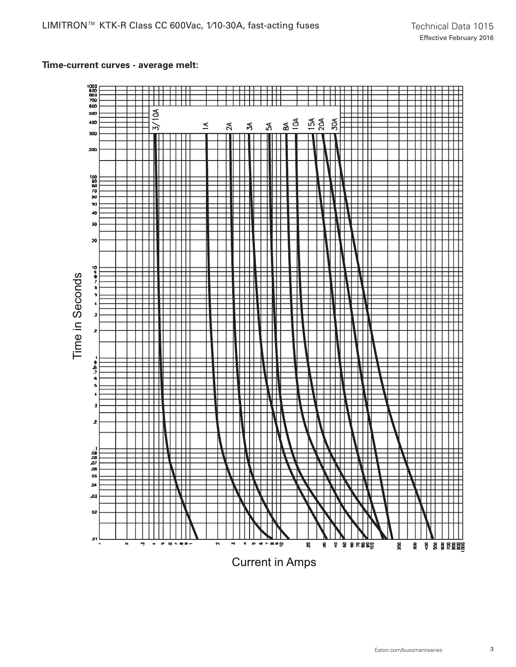# **Time-current curves - average melt:**

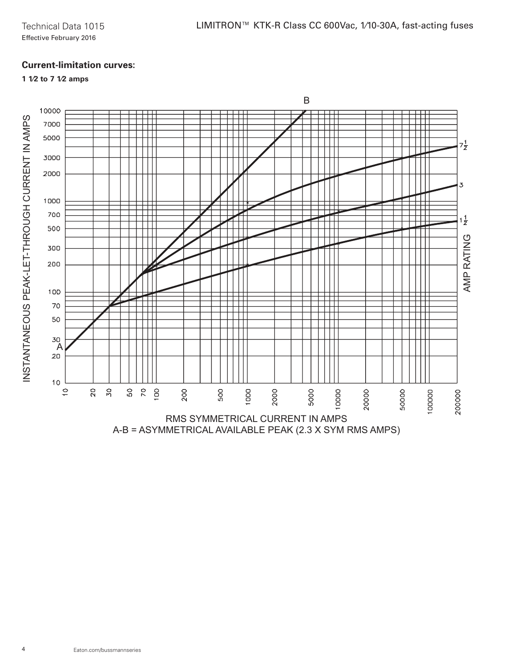# **Current-limitation curves:**

# **1 1⁄2 to 7 1⁄2 amps**

INSTANTANEOUS PEAK-LET-THROUGH CURRENT IN AMPS INSTANTANEOUS PEAK-LET-THROUGH CURRENT IN AMPS

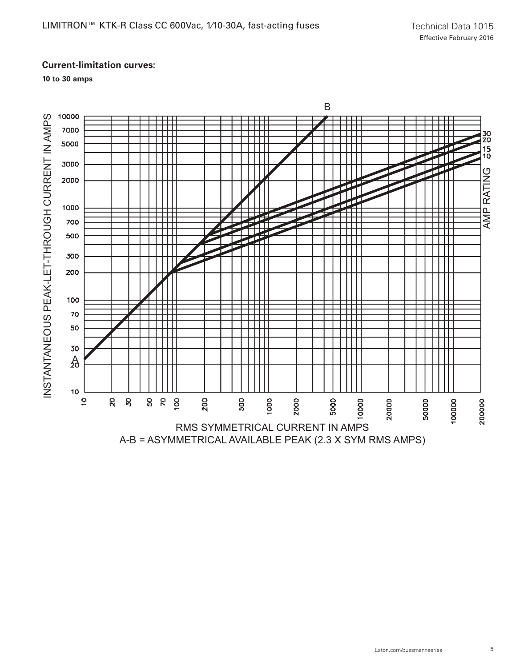## **Current-limitation curves:**

**10 to 30 amps**